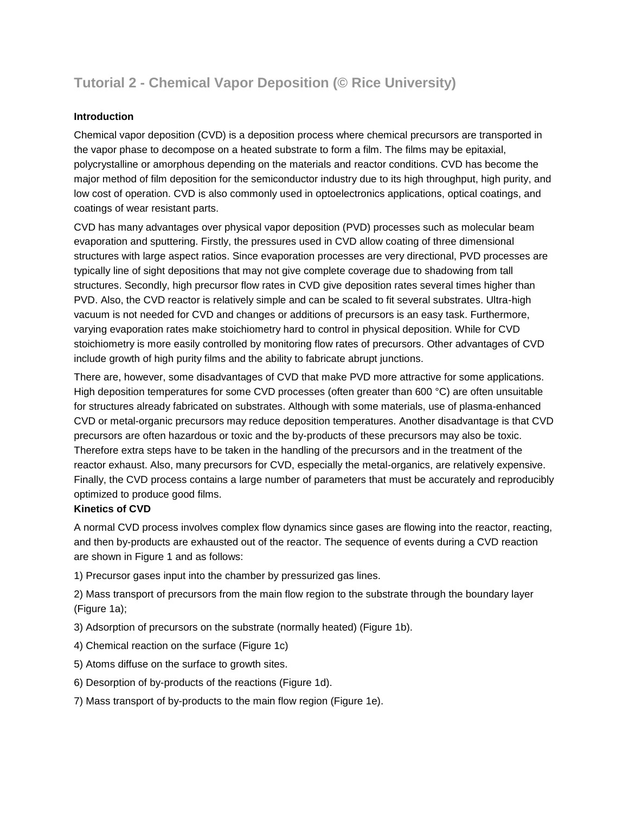# **Tutorial 2 - Chemical Vapor Deposition (© Rice University)**

# **Introduction**

Chemical vapor deposition (CVD) is a deposition process where chemical precursors are transported in the vapor phase to decompose on a heated substrate to form a film. The films may be epitaxial, polycrystalline or amorphous depending on the materials and reactor conditions. CVD has become the major method of film deposition for the semiconductor industry due to its high throughput, high purity, and low cost of operation. CVD is also commonly used in optoelectronics applications, optical coatings, and coatings of wear resistant parts.

CVD has many advantages over physical vapor deposition (PVD) processes such as molecular beam evaporation and sputtering. Firstly, the pressures used in CVD allow coating of three dimensional structures with large aspect ratios. Since evaporation processes are very directional, PVD processes are typically line of sight depositions that may not give complete coverage due to shadowing from tall structures. Secondly, high precursor flow rates in CVD give deposition rates several times higher than PVD. Also, the CVD reactor is relatively simple and can be scaled to fit several substrates. Ultra-high vacuum is not needed for CVD and changes or additions of precursors is an easy task. Furthermore, varying evaporation rates make stoichiometry hard to control in physical deposition. While for CVD stoichiometry is more easily controlled by monitoring flow rates of precursors. Other advantages of CVD include growth of high purity films and the ability to fabricate abrupt junctions.

There are, however, some disadvantages of CVD that make PVD more attractive for some applications. High deposition temperatures for some CVD processes (often greater than 600 °C) are often unsuitable for structures already fabricated on substrates. Although with some materials, use of plasma-enhanced CVD or metal-organic precursors may reduce deposition temperatures. Another disadvantage is that CVD precursors are often hazardous or toxic and the by-products of these precursors may also be toxic. Therefore extra steps have to be taken in the handling of the precursors and in the treatment of the reactor exhaust. Also, many precursors for CVD, especially the metal-organics, are relatively expensive. Finally, the CVD process contains a large number of parameters that must be accurately and reproducibly optimized to produce good films.

## **Kinetics of CVD**

A normal CVD process involves complex flow dynamics since gases are flowing into the reactor, reacting, and then by-products are exhausted out of the reactor. The sequence of events during a CVD reaction are shown in Figure 1 and as follows:

1) Precursor gases input into the chamber by pressurized gas lines.

2) Mass transport of precursors from the main flow region to the substrate through the boundary layer (Figure 1a);

3) Adsorption of precursors on the substrate (normally heated) (Figure 1b).

4) Chemical reaction on the surface (Figure 1c)

5) Atoms diffuse on the surface to growth sites.

6) Desorption of by-products of the reactions (Figure 1d).

7) Mass transport of by-products to the main flow region (Figure 1e).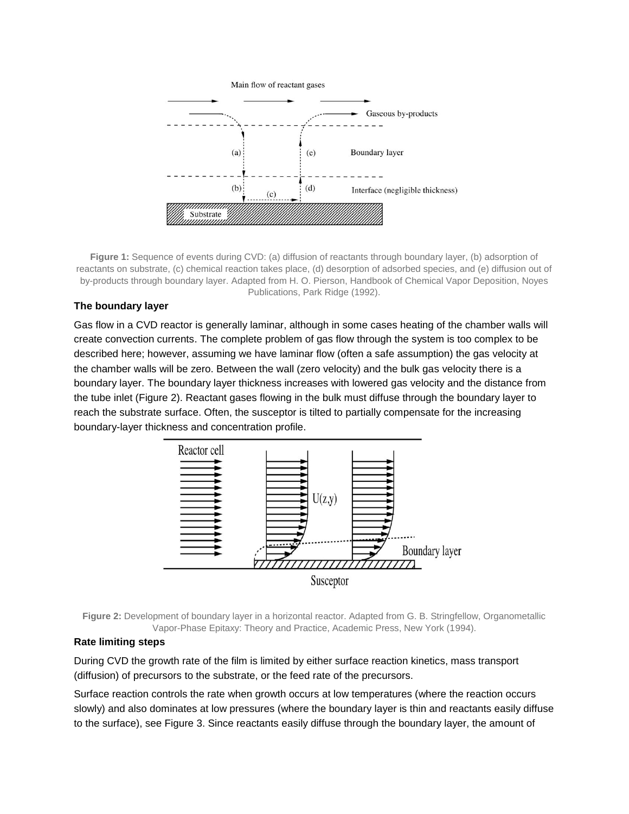

**Figure 1:** Sequence of events during CVD: (a) diffusion of reactants through boundary layer, (b) adsorption of reactants on substrate, (c) chemical reaction takes place, (d) desorption of adsorbed species, and (e) diffusion out of by-products through boundary layer. Adapted from H. O. Pierson, Handbook of Chemical Vapor Deposition, Noyes Publications, Park Ridge (1992).

## **The boundary layer**

Gas flow in a CVD reactor is generally laminar, although in some cases heating of the chamber walls will create convection currents. The complete problem of gas flow through the system is too complex to be described here; however, assuming we have laminar flow (often a safe assumption) the gas velocity at the chamber walls will be zero. Between the wall (zero velocity) and the bulk gas velocity there is a boundary layer. The boundary layer thickness increases with lowered gas velocity and the distance from the tube inlet (Figure 2). Reactant gases flowing in the bulk must diffuse through the boundary layer to reach the substrate surface. Often, the susceptor is tilted to partially compensate for the increasing boundary-layer thickness and concentration profile.



**Figure 2:** Development of boundary layer in a horizontal reactor. Adapted from G. B. Stringfellow, Organometallic Vapor-Phase Epitaxy: Theory and Practice, Academic Press, New York (1994).

#### **Rate limiting steps**

During CVD the growth rate of the film is limited by either surface reaction kinetics, mass transport (diffusion) of precursors to the substrate, or the feed rate of the precursors.

Surface reaction controls the rate when growth occurs at low temperatures (where the reaction occurs slowly) and also dominates at low pressures (where the boundary layer is thin and reactants easily diffuse to the surface), see Figure 3. Since reactants easily diffuse through the boundary layer, the amount of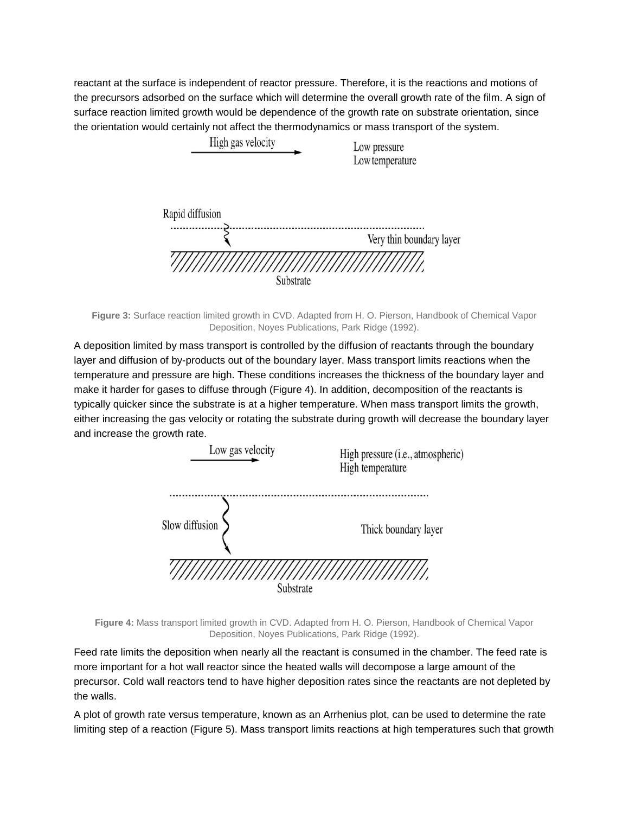reactant at the surface is independent of reactor pressure. Therefore, it is the reactions and motions of the precursors adsorbed on the surface which will determine the overall growth rate of the film. A sign of surface reaction limited growth would be dependence of the growth rate on substrate orientation, since the orientation would certainly not affect the thermodynamics or mass transport of the system.



**Figure 3:** Surface reaction limited growth in CVD. Adapted from H. O. Pierson, Handbook of Chemical Vapor Deposition, Noyes Publications, Park Ridge (1992).

A deposition limited by mass transport is controlled by the diffusion of reactants through the boundary layer and diffusion of by-products out of the boundary layer. Mass transport limits reactions when the temperature and pressure are high. These conditions increases the thickness of the boundary layer and make it harder for gases to diffuse through (Figure 4). In addition, decomposition of the reactants is typically quicker since the substrate is at a higher temperature. When mass transport limits the growth, either increasing the gas velocity or rotating the substrate during growth will decrease the boundary layer and increase the growth rate.



**Figure 4:** Mass transport limited growth in CVD. Adapted from H. O. Pierson, Handbook of Chemical Vapor Deposition, Noyes Publications, Park Ridge (1992).

Feed rate limits the deposition when nearly all the reactant is consumed in the chamber. The feed rate is more important for a hot wall reactor since the heated walls will decompose a large amount of the precursor. Cold wall reactors tend to have higher deposition rates since the reactants are not depleted by the walls.

A plot of growth rate versus temperature, known as an Arrhenius plot, can be used to determine the rate limiting step of a reaction (Figure 5). Mass transport limits reactions at high temperatures such that growth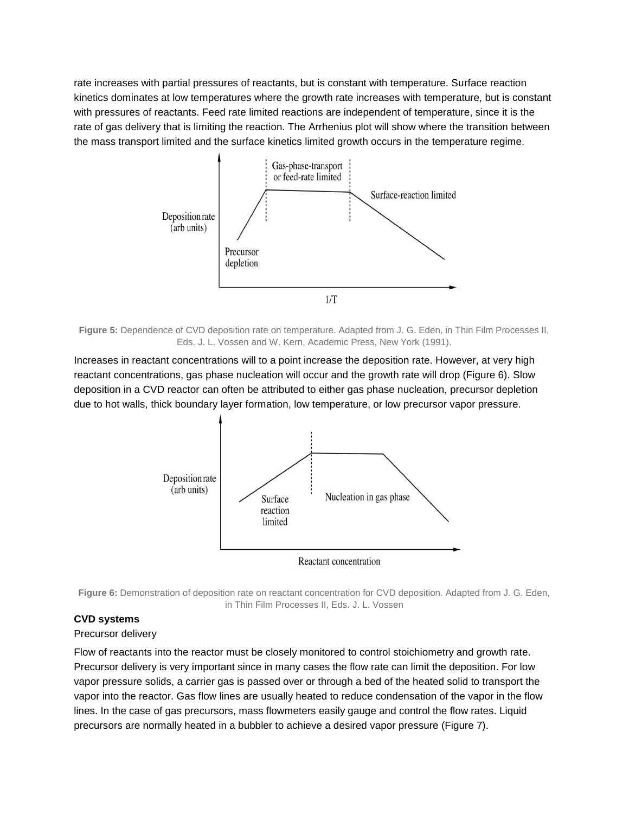rate increases with partial pressures of reactants, but is constant with temperature. Surface reaction kinetics dominates at low temperatures where the growth rate increases with temperature, but is constant with pressures of reactants. Feed rate limited reactions are independent of temperature, since it is the rate of gas delivery that is limiting the reaction. The Arrhenius plot will show where the transition between the mass transport limited and the surface kinetics limited growth occurs in the temperature regime.



**Figure 5:** Dependence of CVD deposition rate on temperature. Adapted from J. G. Eden, in Thin Film Processes II, Eds. J. L. Vossen and W. Kern, Academic Press, New York (1991).

Increases in reactant concentrations will to a point increase the deposition rate. However, at very high reactant concentrations, gas phase nucleation will occur and the growth rate will drop (Figure 6). Slow deposition in a CVD reactor can often be attributed to either gas phase nucleation, precursor depletion due to hot walls, thick boundary layer formation, low temperature, or low precursor vapor pressure.



**Figure 6:** Demonstration of deposition rate on reactant concentration for CVD deposition. Adapted from J. G. Eden, in Thin Film Processes II, Eds. J. L. Vossen

## **CVD systems**

#### Precursor delivery

Flow of reactants into the reactor must be closely monitored to control stoichiometry and growth rate. Precursor delivery is very important since in many cases the flow rate can limit the deposition. For low vapor pressure solids, a carrier gas is passed over or through a bed of the heated solid to transport the vapor into the reactor. Gas flow lines are usually heated to reduce condensation of the vapor in the flow lines. In the case of gas precursors, mass flowmeters easily gauge and control the flow rates. Liquid precursors are normally heated in a bubbler to achieve a desired vapor pressure (Figure 7).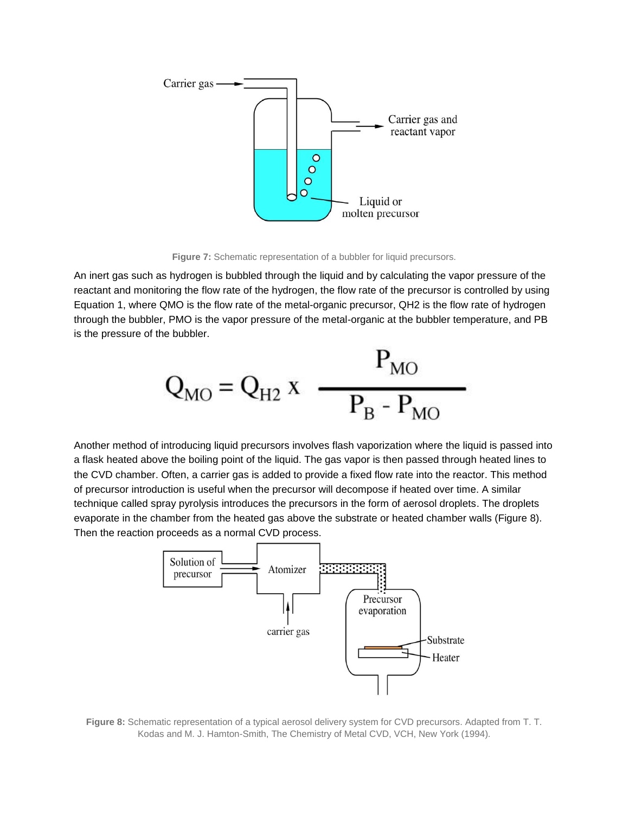

**Figure 7:** Schematic representation of a bubbler for liquid precursors.

An inert gas such as hydrogen is bubbled through the liquid and by calculating the vapor pressure of the reactant and monitoring the flow rate of the hydrogen, the flow rate of the precursor is controlled by using Equation 1, where QMO is the flow rate of the metal-organic precursor, QH2 is the flow rate of hydrogen through the bubbler, PMO is the vapor pressure of the metal-organic at the bubbler temperature, and PB is the pressure of the bubbler.

$$
Q_{\rm MO} = Q_{\rm H2} \, x \, \frac{P_{\rm MO}}{P_{\rm B} - P_{\rm MO}}
$$

Another method of introducing liquid precursors involves flash vaporization where the liquid is passed into a flask heated above the boiling point of the liquid. The gas vapor is then passed through heated lines to the CVD chamber. Often, a carrier gas is added to provide a fixed flow rate into the reactor. This method of precursor introduction is useful when the precursor will decompose if heated over time. A similar technique called spray pyrolysis introduces the precursors in the form of aerosol droplets. The droplets evaporate in the chamber from the heated gas above the substrate or heated chamber walls (Figure 8). Then the reaction proceeds as a normal CVD process.



**Figure 8:** Schematic representation of a typical aerosol delivery system for CVD precursors. Adapted from T. T. Kodas and M. J. Hamton-Smith, The Chemistry of Metal CVD, VCH, New York (1994).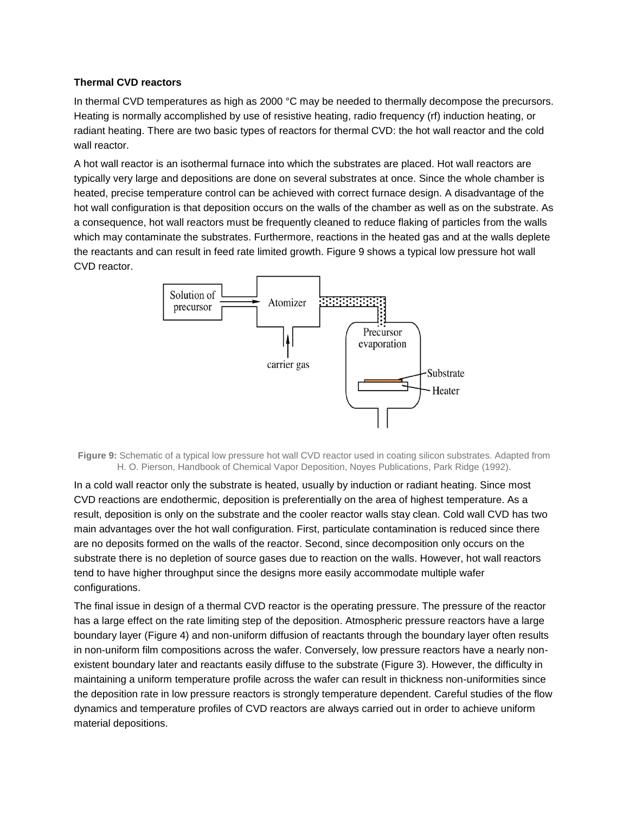## **Thermal CVD reactors**

In thermal CVD temperatures as high as 2000 °C may be needed to thermally decompose the precursors. Heating is normally accomplished by use of resistive heating, radio frequency (rf) induction heating, or radiant heating. There are two basic types of reactors for thermal CVD: the hot wall reactor and the cold wall reactor.

A hot wall reactor is an isothermal furnace into which the substrates are placed. Hot wall reactors are typically very large and depositions are done on several substrates at once. Since the whole chamber is heated, precise temperature control can be achieved with correct furnace design. A disadvantage of the hot wall configuration is that deposition occurs on the walls of the chamber as well as on the substrate. As a consequence, hot wall reactors must be frequently cleaned to reduce flaking of particles from the walls which may contaminate the substrates. Furthermore, reactions in the heated gas and at the walls deplete the reactants and can result in feed rate limited growth. Figure 9 shows a typical low pressure hot wall CVD reactor.



**Figure 9:** Schematic of a typical low pressure hot wall CVD reactor used in coating silicon substrates. Adapted from H. O. Pierson, Handbook of Chemical Vapor Deposition, Noyes Publications, Park Ridge (1992).

In a cold wall reactor only the substrate is heated, usually by induction or radiant heating. Since most CVD reactions are endothermic, deposition is preferentially on the area of highest temperature. As a result, deposition is only on the substrate and the cooler reactor walls stay clean. Cold wall CVD has two main advantages over the hot wall configuration. First, particulate contamination is reduced since there are no deposits formed on the walls of the reactor. Second, since decomposition only occurs on the substrate there is no depletion of source gases due to reaction on the walls. However, hot wall reactors tend to have higher throughput since the designs more easily accommodate multiple wafer configurations.

The final issue in design of a thermal CVD reactor is the operating pressure. The pressure of the reactor has a large effect on the rate limiting step of the deposition. Atmospheric pressure reactors have a large boundary layer (Figure 4) and non-uniform diffusion of reactants through the boundary layer often results in non-uniform film compositions across the wafer. Conversely, low pressure reactors have a nearly nonexistent boundary later and reactants easily diffuse to the substrate (Figure 3). However, the difficulty in maintaining a uniform temperature profile across the wafer can result in thickness non-uniformities since the deposition rate in low pressure reactors is strongly temperature dependent. Careful studies of the flow dynamics and temperature profiles of CVD reactors are always carried out in order to achieve uniform material depositions.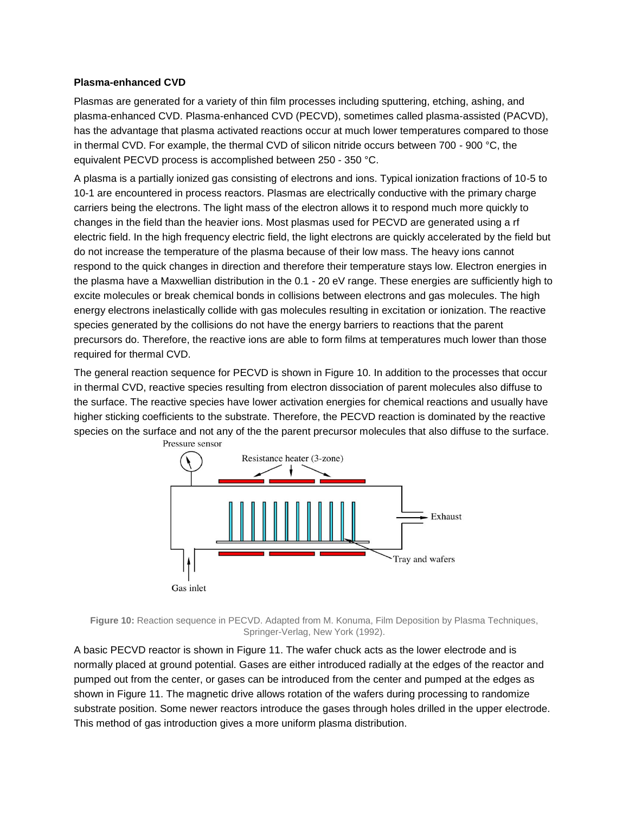### **Plasma-enhanced CVD**

Plasmas are generated for a variety of thin film processes including sputtering, etching, ashing, and plasma-enhanced CVD. Plasma-enhanced CVD (PECVD), sometimes called plasma-assisted (PACVD), has the advantage that plasma activated reactions occur at much lower temperatures compared to those in thermal CVD. For example, the thermal CVD of silicon nitride occurs between 700 - 900 °C, the equivalent PECVD process is accomplished between 250 - 350 °C.

A plasma is a partially ionized gas consisting of electrons and ions. Typical ionization fractions of 10-5 to 10-1 are encountered in process reactors. Plasmas are electrically conductive with the primary charge carriers being the electrons. The light mass of the electron allows it to respond much more quickly to changes in the field than the heavier ions. Most plasmas used for PECVD are generated using a rf electric field. In the high frequency electric field, the light electrons are quickly accelerated by the field but do not increase the temperature of the plasma because of their low mass. The heavy ions cannot respond to the quick changes in direction and therefore their temperature stays low. Electron energies in the plasma have a Maxwellian distribution in the 0.1 - 20 eV range. These energies are sufficiently high to excite molecules or break chemical bonds in collisions between electrons and gas molecules. The high energy electrons inelastically collide with gas molecules resulting in excitation or ionization. The reactive species generated by the collisions do not have the energy barriers to reactions that the parent precursors do. Therefore, the reactive ions are able to form films at temperatures much lower than those required for thermal CVD.

The general reaction sequence for PECVD is shown in Figure 10. In addition to the processes that occur in thermal CVD, reactive species resulting from electron dissociation of parent molecules also diffuse to the surface. The reactive species have lower activation energies for chemical reactions and usually have higher sticking coefficients to the substrate. Therefore, the PECVD reaction is dominated by the reactive species on the surface and not any of the the parent precursor molecules that also diffuse to the surface. Pressure sensor



**Figure 10:** Reaction sequence in PECVD. Adapted from M. Konuma, Film Deposition by Plasma Techniques, Springer-Verlag, New York (1992).

A basic PECVD reactor is shown in Figure 11. The wafer chuck acts as the lower electrode and is normally placed at ground potential. Gases are either introduced radially at the edges of the reactor and pumped out from the center, or gases can be introduced from the center and pumped at the edges as shown in Figure 11. The magnetic drive allows rotation of the wafers during processing to randomize substrate position. Some newer reactors introduce the gases through holes drilled in the upper electrode. This method of gas introduction gives a more uniform plasma distribution.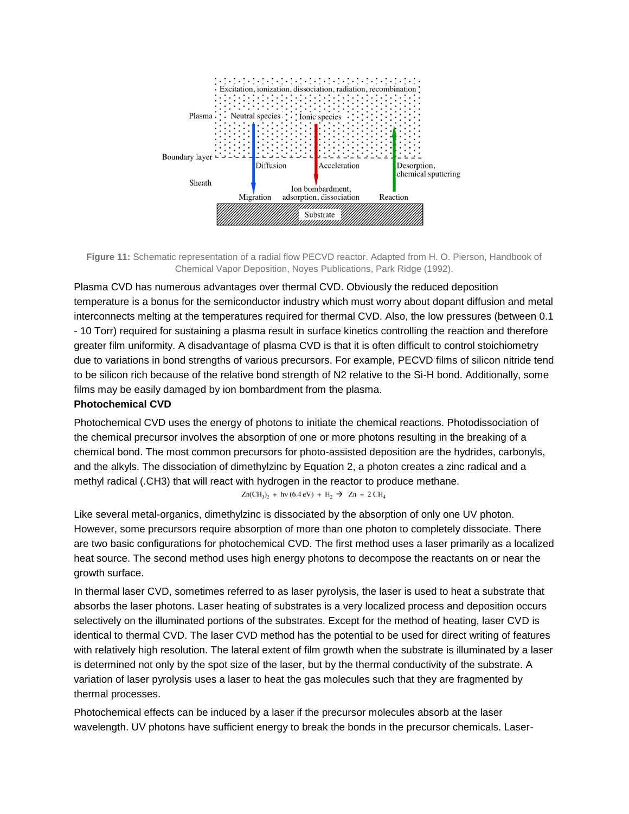

**Figure 11:** Schematic representation of a radial flow PECVD reactor. Adapted from H. O. Pierson, Handbook of Chemical Vapor Deposition, Noyes Publications, Park Ridge (1992).

Plasma CVD has numerous advantages over thermal CVD. Obviously the reduced deposition temperature is a bonus for the semiconductor industry which must worry about dopant diffusion and metal interconnects melting at the temperatures required for thermal CVD. Also, the low pressures (between 0.1 - 10 Torr) required for sustaining a plasma result in surface kinetics controlling the reaction and therefore greater film uniformity. A disadvantage of plasma CVD is that it is often difficult to control stoichiometry due to variations in bond strengths of various precursors. For example, PECVD films of silicon nitride tend to be silicon rich because of the relative bond strength of N2 relative to the Si-H bond. Additionally, some films may be easily damaged by ion bombardment from the plasma.

## **Photochemical CVD**

Photochemical CVD uses the energy of photons to initiate the chemical reactions. Photodissociation of the chemical precursor involves the absorption of one or more photons resulting in the breaking of a chemical bond. The most common precursors for photo-assisted deposition are the hydrides, carbonyls, and the alkyls. The dissociation of dimethylzinc by Equation 2, a photon creates a zinc radical and a methyl radical (.CH3) that will react with hydrogen in the reactor to produce methane.

 $Zn(CH_3)$ <sub>2</sub> + hv (6.4 eV) + H<sub>2</sub>  $\rightarrow$  Zn + 2 CH<sub>4</sub>

Like several metal-organics, dimethylzinc is dissociated by the absorption of only one UV photon. However, some precursors require absorption of more than one photon to completely dissociate. There are two basic configurations for photochemical CVD. The first method uses a laser primarily as a localized heat source. The second method uses high energy photons to decompose the reactants on or near the growth surface.

In thermal laser CVD, sometimes referred to as laser pyrolysis, the laser is used to heat a substrate that absorbs the laser photons. Laser heating of substrates is a very localized process and deposition occurs selectively on the illuminated portions of the substrates. Except for the method of heating, laser CVD is identical to thermal CVD. The laser CVD method has the potential to be used for direct writing of features with relatively high resolution. The lateral extent of film growth when the substrate is illuminated by a laser is determined not only by the spot size of the laser, but by the thermal conductivity of the substrate. A variation of laser pyrolysis uses a laser to heat the gas molecules such that they are fragmented by thermal processes.

Photochemical effects can be induced by a laser if the precursor molecules absorb at the laser wavelength. UV photons have sufficient energy to break the bonds in the precursor chemicals. Laser